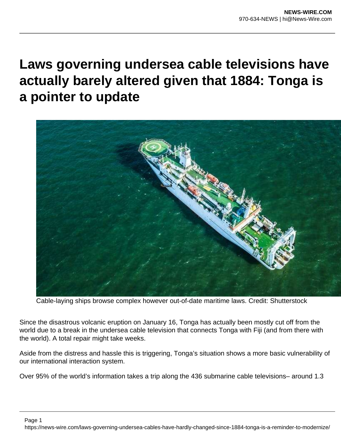## **Laws governing undersea cable televisions have actually barely altered given that 1884: Tonga is a pointer to update**



Cable-laying ships browse complex however out-of-date maritime laws. Credit: Shutterstock

Since the disastrous volcanic eruption on January 16, Tonga has actually been mostly cut off from the world due to a break in the undersea cable television that connects Tonga with Fiji (and from there with the world). A total repair might take weeks.

Aside from the distress and hassle this is triggering, Tonga's situation shows a more basic vulnerability of our international interaction system.

Over 95% of the world's information takes a trip along the 436 submarine cable televisions– around 1.3

Page 1 https://news-wire.com/laws-governing-undersea-cables-have-hardly-changed-since-1884-tonga-is-a-reminder-to-modernize/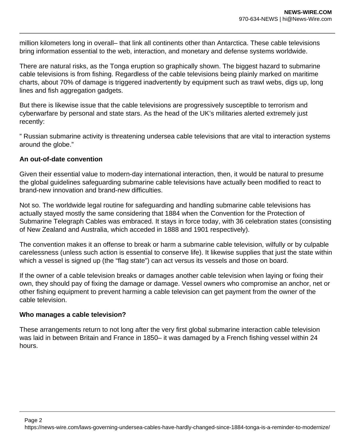million kilometers long in overall– that link all continents other than Antarctica. These cable televisions bring information essential to the web, interaction, and monetary and defense systems worldwide.

There are natural risks, as the Tonga eruption so graphically shown. The biggest hazard to submarine cable televisions is from fishing. Regardless of the cable televisions being plainly marked on maritime charts, about 70% of damage is triggered inadvertently by equipment such as trawl webs, digs up, long lines and fish aggregation gadgets.

But there is likewise issue that the cable televisions are progressively susceptible to terrorism and cyberwarfare by personal and state stars. As the head of the UK's militaries alerted extremely just recently:

" Russian submarine activity is threatening undersea cable televisions that are vital to interaction systems around the globe."

## **An out-of-date convention**

Given their essential value to modern-day international interaction, then, it would be natural to presume the global guidelines safeguarding submarine cable televisions have actually been modified to react to brand-new innovation and brand-new difficulties.

Not so. The worldwide legal routine for safeguarding and handling submarine cable televisions has actually stayed mostly the same considering that 1884 when the Convention for the Protection of Submarine Telegraph Cables was embraced. It stays in force today, with 36 celebration states (consisting of New Zealand and Australia, which acceded in 1888 and 1901 respectively).

The convention makes it an offense to break or harm a submarine cable television, wilfully or by culpable carelessness (unless such action is essential to conserve life). It likewise supplies that just the state within which a vessel is signed up (the "flag state") can act versus its vessels and those on board.

If the owner of a cable television breaks or damages another cable television when laying or fixing their own, they should pay of fixing the damage or damage. Vessel owners who compromise an anchor, net or other fishing equipment to prevent harming a cable television can get payment from the owner of the cable television.

## **Who manages a cable television?**

These arrangements return to not long after the very first global submarine interaction cable television was laid in between Britain and France in 1850– it was damaged by a French fishing vessel within 24 hours.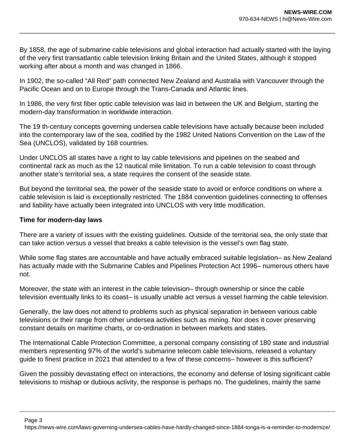By 1858, the age of submarine cable televisions and global interaction had actually started with the laying of the very first transatlantic cable television linking Britain and the United States, although it stopped working after about a month and was changed in 1866.

In 1902, the so-called "All Red" path connected New Zealand and Australia with Vancouver through the Pacific Ocean and on to Europe through the Trans-Canada and Atlantic lines.

In 1986, the very first fiber optic cable television was laid in between the UK and Belgium, starting the modern-day transformation in worldwide interaction.

The 19 th-century concepts governing undersea cable televisions have actually because been included into the contemporary law of the sea, codified by the 1982 United Nations Convention on the Law of the Sea (UNCLOS), validated by 168 countries.

Under UNCLOS all states have a right to lay cable televisions and pipelines on the seabed and continental rack as much as the 12 nautical mile limitation. To run a cable television to coast through another state's territorial sea, a state requires the consent of the seaside state.

But beyond the territorial sea, the power of the seaside state to avoid or enforce conditions on where a cable television is laid is exceptionally restricted. The 1884 convention guidelines connecting to offenses and liability have actually been integrated into UNCLOS with very little modification.

## **Time for modern-day laws**

There are a variety of issues with the existing guidelines. Outside of the territorial sea, the only state that can take action versus a vessel that breaks a cable television is the vessel's own flag state.

While some flag states are accountable and have actually embraced suitable legislation– as New Zealand has actually made with the Submarine Cables and Pipelines Protection Act 1996– numerous others have not.

Moreover, the state with an interest in the cable television– through ownership or since the cable television eventually links to its coast– is usually unable act versus a vessel harming the cable television.

Generally, the law does not attend to problems such as physical separation in between various cable televisions or their range from other undersea activities such as mining. Nor does it cover preserving constant details on maritime charts, or co-ordination in between markets and states.

The International Cable Protection Committee, a personal company consisting of 180 state and industrial members representing 97% of the world's submarine telecom cable televisions, released a voluntary guide to finest practice in 2021 that attended to a few of these concerns– however is this sufficient?

Given the possibly devastating effect on interactions, the economy and defense of losing significant cable televisions to mishap or dubious activity, the response is perhaps no. The guidelines, mainly the same

Page 3